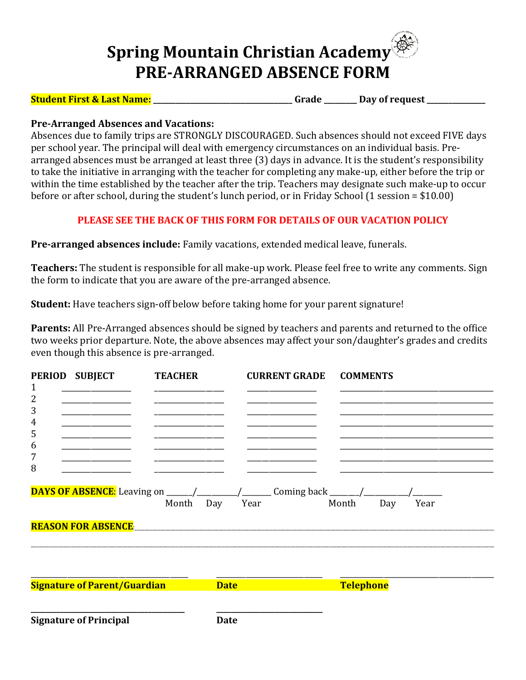## **Spring Mountain Christian Academy PRE-ARRANGED ABSENCE FORM**

**Student First & Last Name: \_\_\_\_\_\_\_\_\_\_\_\_\_\_\_\_\_\_\_\_\_\_\_\_\_\_\_\_\_\_\_\_\_\_\_\_\_\_ Grade \_\_\_\_\_\_\_\_\_ Day of request \_\_\_\_\_\_\_\_\_\_\_\_\_\_\_\_**

## **Pre-Arranged Absences and Vacations:**

Absences due to family trips are STRONGLY DISCOURAGED. Such absences should not exceed FIVE days per school year. The principal will deal with emergency circumstances on an individual basis. Prearranged absences must be arranged at least three (3) days in advance. It is the student's responsibility to take the initiative in arranging with the teacher for completing any make-up, either before the trip or within the time established by the teacher after the trip. Teachers may designate such make-up to occur before or after school, during the student's lunch period, or in Friday School (1 session = \$10.00)

## **PLEASE SEE THE BACK OF THIS FORM FOR DETAILS OF OUR VACATION POLICY**

**Pre-arranged absences include:** Family vacations, extended medical leave, funerals.

**Teachers:** The student is responsible for all make-up work. Please feel free to write any comments. Sign the form to indicate that you are aware of the pre-arranged absence.

**Student:** Have teachers sign-off below before taking home for your parent signature!

**Parents:** All Pre-Arranged absences should be signed by teachers and parents and returned to the office two weeks prior departure. Note, the above absences may affect your son/daughter's grades and credits even though this absence is pre-arranged.

| 1<br>2<br>3<br>$\overline{4}$<br>5<br>6<br>7<br>8 | PERIOD SUBJECT<br><b>REASON FOR ABSENCE.</b> | <b>TEACHER</b><br>Month Day<br><u> 1980 - Jan Stein Stein Stein Stein Stein Stein Stein Stein Stein Stein Stein Stein Stein Stein Stein Stein S</u> | <b>CURRENT GRADE</b><br>Year | <b>COMMENTS</b><br>Month | Year<br>Day |
|---------------------------------------------------|----------------------------------------------|-----------------------------------------------------------------------------------------------------------------------------------------------------|------------------------------|--------------------------|-------------|
|                                                   | <b>Signature of Parent/Guardian</b>          |                                                                                                                                                     | <b>Date</b>                  | <b>Telephone</b>         |             |
|                                                   | <b>Signature of Principal</b>                |                                                                                                                                                     | <b>Date</b>                  |                          |             |